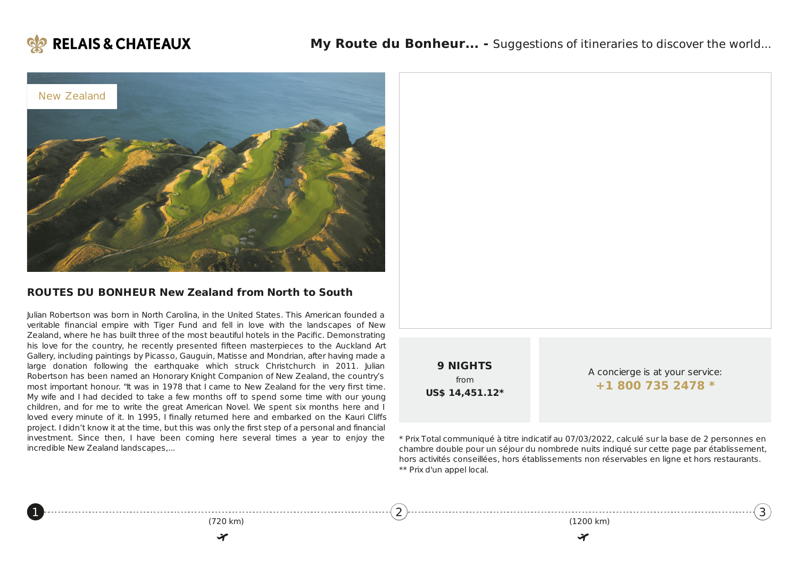

<span id="page-0-0"></span>[1](#page-0-0)



#### **ROUTES DU BONHEUR New Zealand from North to South**

Julian Robertson was born in North Carolina, in the United States. This American founded a veritable financial empire with Tiger Fund and fell in love with the landscapes of New Zealand, where he has built three of the most beautiful hotels in the Pacific. Demonstrating his love for the country, he recently presented fifteen masterpieces to the Auckland Art Gallery, including paintings by Picasso, Gauguin, Matisse and Mondrian, after having made a large donation following the earthquake which struck Christchurch in 2011. Julian Robertson has been named an Honorary Knight Companion of New Zealand, the country's most important honour. "It was in 1978 that I came to New Zealand for the very first time. My wife and I had decided to take a few months off to spend some time with our young children, and for me to write the great American Novel. We spent six months here and I loved every minute of it. In 1995, I finally returned here and embarked on the Kauri Cliffs project. I didn't know it at the time, but this was only the first step of a personal and financial investment. Since then, I have been coming here several times a year to enjoy the incredible New Zealand landscapes,...

(720 km)

₩

[2](#page-1-0)

| <b>9 NIGHTS</b><br>from<br>US\$ 14,451.12* | A concierge is at your service:<br>+1 800 735 2478 * |
|--------------------------------------------|------------------------------------------------------|

\* Prix Total communiqué à titre indicatif au 07/03/2022, calculé sur la base de 2 personnes en chambre double pour un séjour du nombrede nuits indiqué sur cette page par établissement, hors activités conseillées, hors établissements non réservables en ligne et hors restaurants. \*\* Prix d'un appel local.

(1200 km)

✔

[3](#page-2-0))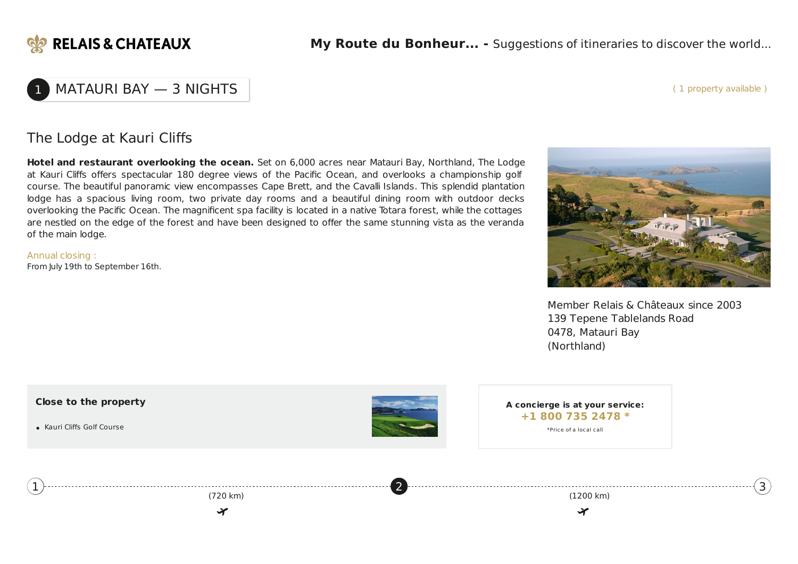

( 1 property available )

## MATAURI BAY - 3 NIGHTS

## The Lodge at Kauri Cliffs

**Hotel and restaurant overlooking the ocean.** Set on 6,000 acres near Matauri Bay, Northland, The Lodge at Kauri Cliffs offers spectacular 180 degree views of the Pacific Ocean, and overlooks a championship golf course. The beautiful panoramic view encompasses Cape Brett, and the Cavalli Islands. This splendid plantation lodge has a spacious living room, two private day rooms and a beautiful dining room with outdoor decks overlooking the Pacific Ocean. The magnificent spa facility is located in a native Totara forest, while the cottages are nestled on the edge of the forest and have been designed to offer the same stunning vista as the veranda of the main lodge.

Annual closing : From July 19th to September 16th.



Member Relais & Châteaux since 2003 139 Tepene Tablelands Road 0478, Matauri Bay (Northland)

<span id="page-1-0"></span>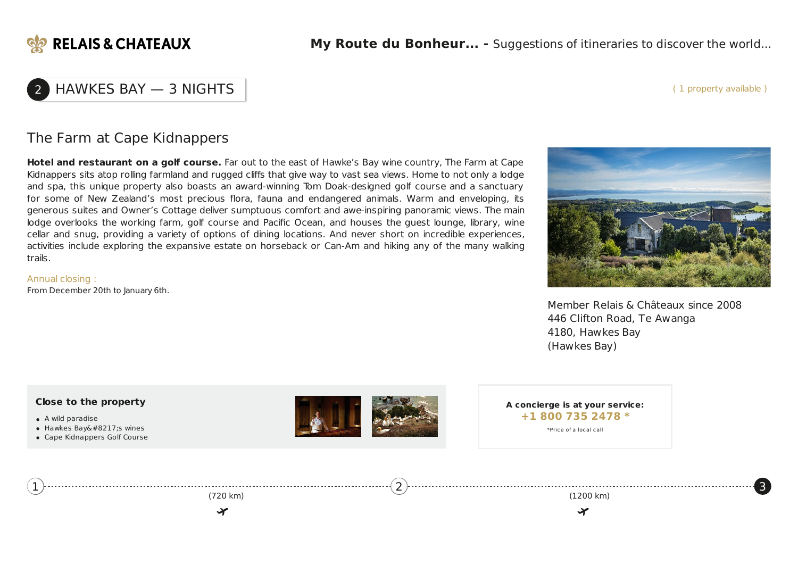

( 1 property available )

[3](#page-2-0)

# 2 HAWKES BAY — 3 NIGHTS

### The Farm at Cape Kidnappers

**Hotel and restaurant on a golf course.** Far out to the east of Hawke's Bay wine country, The Farm at Cape Kidnappers sits atop rolling farmland and rugged cliffs that give way to vast sea views. Home to not only a lodge and spa, this unique property also boasts an award-winning Tom Doak-designed golf course and a sanctuary for some of New Zealand's most precious flora, fauna and endangered animals. Warm and enveloping, its generous suites and Owner's Cottage deliver sumptuous comfort and awe-inspiring panoramic views. The main lodge overlooks the working farm, golf course and Pacific Ocean, and houses the guest lounge, library, wine cellar and snug, providing a variety of options of dining locations. And never short on incredible experiences, activities include exploring the expansive estate on horseback or Can-Am and hiking any of the many walking trails.

Annual closing : From December 20th to January 6th.



Member Relais & Châteaux since 2008 446 Clifton Road, Te Awanga 4180, Hawkes Bay (Hawkes Bay)

<span id="page-2-0"></span>